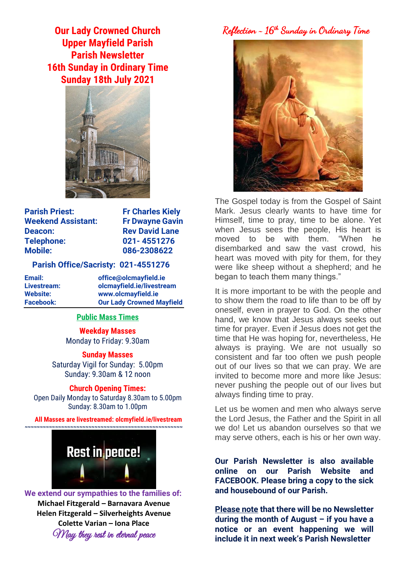**Our Lady Crowned Church Upper Mayfield Parish Parish Newsletter 16th Sunday in Ordinary Time Sunday 18th July 2021**



**Parish Priest:** Fr Charles Kiely **Weekend Assistant: Fr Dwayne Gavin Deacon:** Rev David Lane **Telephone: 021- 4551276 Mobile: 086-2308622** 

### **Parish Office/Sacristy: 021-4551276**

**Email: office@olcmayfield.ie Livestream: olcmayfield.ie/livestream Website: www.olcmayfield.ie Facebook: Our Lady Crowned Mayfield**

# **Public Mass Times**

**Weekday Masses** Monday to Friday: 9.30am

**Sunday Masses** Saturday Vigil for Sunday: 5.00pm Sunday: 9.30am & 12 noon

#### **Church Opening Times:**

Open Daily Monday to Saturday 8.30am to 5.00pm Sunday: 8.30am to 1.00pm

**All Masses are livestreamed: olcmyfield.ie/livestream**



**We extend our sympathies to the families of: Michael Fitzgerald – Barnavara Avenue Helen Fitzgerald – Silverheights Avenue Colette Varian – Iona Place** May they rest in eternal peace

Reflection ~ 16th Sunday in Ordinary Time



The Gospel today is from the Gospel of Saint Mark. Jesus clearly wants to have time for Himself, time to pray, time to be alone. Yet when Jesus sees the people, His heart is moved to be with them. "When he disembarked and saw the vast crowd, his heart was moved with pity for them, for they were like sheep without a shepherd; and he began to teach them many things."

It is more important to be with the people and to show them the road to life than to be off by oneself, even in prayer to God. On the other hand, we know that Jesus always seeks out time for prayer. Even if Jesus does not get the time that He was hoping for, nevertheless, He always is praying. We are not usually so consistent and far too often we push people out of our lives so that we can pray. We are invited to become more and more like Jesus: never pushing the people out of our lives but always finding time to pray.

Let us be women and men who always serve the Lord Jesus, the Father and the Spirit in all we do! Let us abandon ourselves so that we may serve others, each is his or her own way.

**Our Parish Newsletter is also available online on our Parish Website and FACEBOOK. Please bring a copy to the sick and housebound of our Parish.**

**Please note that there will be no Newsletter during the month of August – if you have a notice or an event happening we will include it in next week's Parish Newsletter**